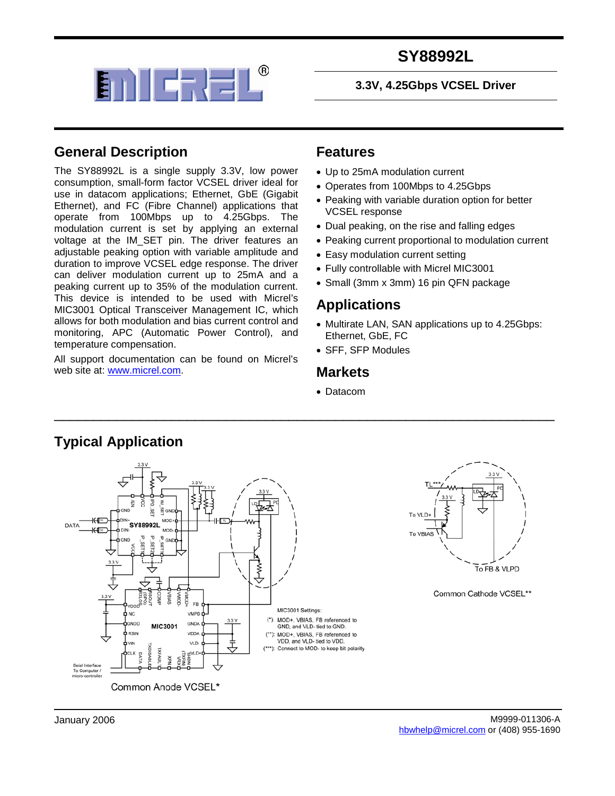

#### **3.3V, 4.25Gbps VCSEL Driver**

#### **General Description**

The SY88992L is a single supply 3.3V, low power consumption, small-form factor VCSEL driver ideal for use in datacom applications; Ethernet, GbE (Gigabit Ethernet), and FC (Fibre Channel) applications that operate from 100Mbps up to 4.25Gbps. The modulation current is set by applying an external voltage at the IM\_SET pin. The driver features an adjustable peaking option with variable amplitude and duration to improve VCSEL edge response. The driver can deliver modulation current up to 25mA and a peaking current up to 35% of the modulation current. This device is intended to be used with Micrel's MIC3001 Optical Transceiver Management IC, which allows for both modulation and bias current control and monitoring, APC (Automatic Power Control), and temperature compensation.

All support documentation can be found on Micrel's web site at: [www.micrel.com.](http://www.micrel.com/)

#### **Features**

- Up to 25mA modulation current
- Operates from 100Mbps to 4.25Gbps
- Peaking with variable duration option for better VCSEL response
- Dual peaking, on the rise and falling edges
- Peaking current proportional to modulation current
- Easy modulation current setting
- Fully controllable with Micrel MIC3001
- Small (3mm x 3mm) 16 pin QFN package

#### **Applications**

- Multirate LAN, SAN applications up to 4.25Gbps: Ethernet, GbE, FC
- SFF, SFP Modules

#### **Markets**

• Datacom



\_\_\_\_\_\_\_\_\_\_\_\_\_\_\_\_\_\_\_\_\_\_\_\_\_\_\_\_\_\_\_\_\_\_\_\_\_\_\_\_\_\_\_\_\_\_\_\_\_\_\_\_\_\_\_\_\_\_\_\_\_\_\_\_

Common Anode VCSEL\*

#### **Typical Application**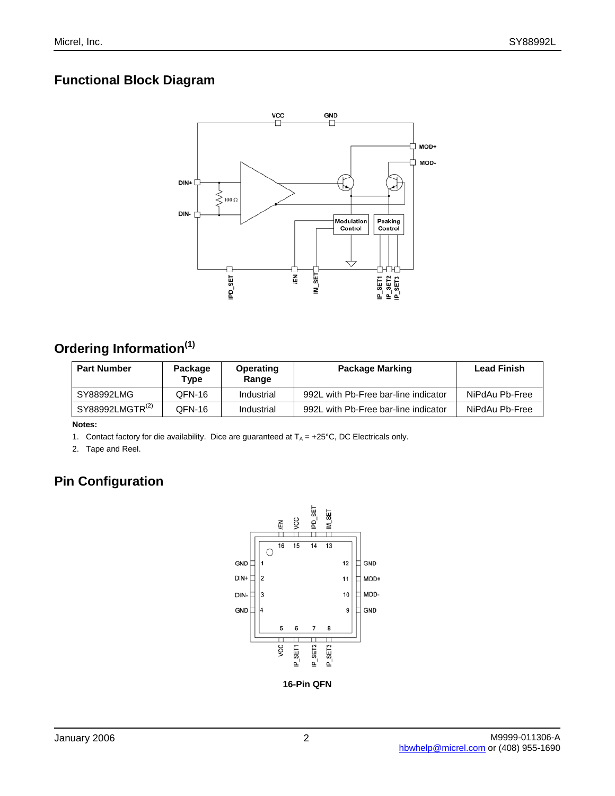## **Functional Block Diagram**



# **Ordering Information(1)**

| <b>Part Number</b>          | Package<br>Type | Operating<br>Range | Package Marking                      | <b>Lead Finish</b> |
|-----------------------------|-----------------|--------------------|--------------------------------------|--------------------|
| SY88992LMG                  | QFN-16          | Industrial         | 992L with Pb-Free bar-line indicator | NiPdAu Pb-Free     |
| SY88992LMGTR <sup>(2)</sup> | OFN-16          | Industrial         | 992L with Pb-Free bar-line indicator | NiPdAu Pb-Free     |

**Notes:**

1. Contact factory for die availability. Dice are guaranteed at  $T_A = +25^{\circ}C$ , DC Electricals only.

2. Tape and Reel.

## **Pin Configuration**



**16-Pin QFN**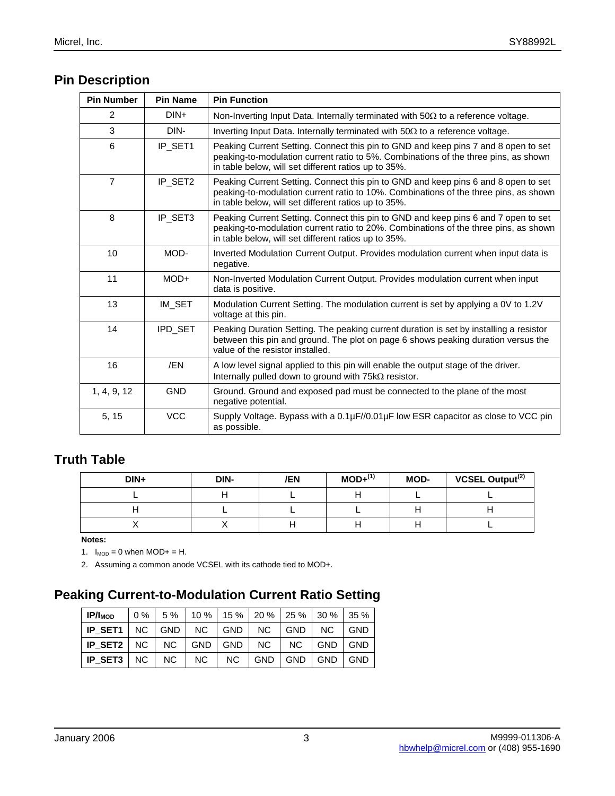# **Pin Description**

| <b>Pin Number</b> | <b>Pin Name</b> | <b>Pin Function</b>                                                                                                                                                                                                                |
|-------------------|-----------------|------------------------------------------------------------------------------------------------------------------------------------------------------------------------------------------------------------------------------------|
| $\mathcal{P}$     | $DIN+$          | Non-Inverting Input Data. Internally terminated with $50\Omega$ to a reference voltage.                                                                                                                                            |
| 3                 | DIN-            | Inverting Input Data. Internally terminated with $50\Omega$ to a reference voltage.                                                                                                                                                |
| 6                 | IP_SET1         | Peaking Current Setting. Connect this pin to GND and keep pins 7 and 8 open to set<br>peaking-to-modulation current ratio to 5%. Combinations of the three pins, as shown<br>in table below, will set different ratios up to 35%.  |
| $\overline{7}$    | IP_SET2         | Peaking Current Setting. Connect this pin to GND and keep pins 6 and 8 open to set<br>peaking-to-modulation current ratio to 10%. Combinations of the three pins, as shown<br>in table below, will set different ratios up to 35%. |
| 8                 | IP_SET3         | Peaking Current Setting. Connect this pin to GND and keep pins 6 and 7 open to set<br>peaking-to-modulation current ratio to 20%. Combinations of the three pins, as shown<br>in table below, will set different ratios up to 35%. |
| 10                | MOD-            | Inverted Modulation Current Output. Provides modulation current when input data is<br>negative.                                                                                                                                    |
| 11                | MOD+            | Non-Inverted Modulation Current Output. Provides modulation current when input<br>data is positive.                                                                                                                                |
| 13                | IM SET          | Modulation Current Setting. The modulation current is set by applying a 0V to 1.2V<br>voltage at this pin.                                                                                                                         |
| 14                | IPD_SET         | Peaking Duration Setting. The peaking current duration is set by installing a resistor<br>between this pin and ground. The plot on page 6 shows peaking duration versus the<br>value of the resistor installed.                    |
| 16                | /EN             | A low level signal applied to this pin will enable the output stage of the driver.<br>Internally pulled down to ground with 75kΩ resistor.                                                                                         |
| 1, 4, 9, 12       | <b>GND</b>      | Ground. Ground and exposed pad must be connected to the plane of the most<br>negative potential.                                                                                                                                   |
| 5, 15             | <b>VCC</b>      | Supply Voltage. Bypass with a 0.1µF//0.01µF low ESR capacitor as close to VCC pin<br>as possible.                                                                                                                                  |

#### **Truth Table**

| $DIN+$ | DIN- | /EN | $MOD+^{(1)}$ | MOD- | VCSEL Output <sup>(2)</sup> |
|--------|------|-----|--------------|------|-----------------------------|
|        |      |     |              |      |                             |
|        |      |     |              |      |                             |
|        |      |     |              |      |                             |

**Notes:**

1.  $I_{MOD} = 0$  when  $MOD + = H$ .

2. Assuming a common anode VCSEL with its cathode tied to MOD+.

#### **Peaking Current-to-Modulation Current Ratio Setting**

| $IP/I_{MOD}$                                           |  | $\vert$ 0 % $\vert$ 5 % $\vert$ 10 % $\vert$ 15 % $\vert$ 20 % $\vert$ 25 % $\vert$ 30 % $\vert$ 35 % $\vert$ |  |  |  |
|--------------------------------------------------------|--|---------------------------------------------------------------------------------------------------------------|--|--|--|
| $ IP$ SET1 $ NC $ GND $ NC $ GND $ NC $ GND $ NC $ GND |  |                                                                                                               |  |  |  |
| $ IP$ SET2 $ NC NC $ GND $ GND NC NC $ GND $ GND $     |  |                                                                                                               |  |  |  |
| $ IP$ SET3 $ NC NC NC NC GND GND GND GND $             |  |                                                                                                               |  |  |  |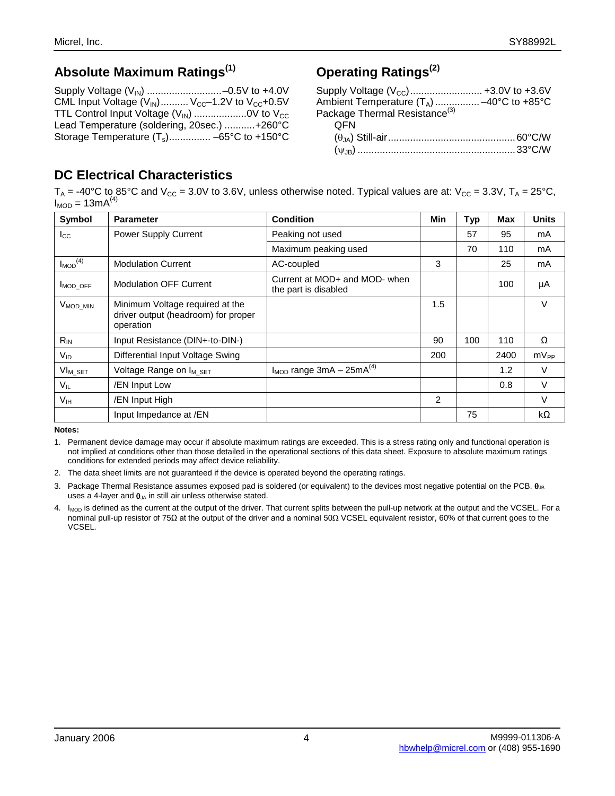#### **Absolute Maximum Ratings(1)**

| CML Input Voltage $(V_{\text{IN}})$ $V_{\text{CC}}$ -1.2V to $V_{\text{CC}}$ +0.5V |  |
|------------------------------------------------------------------------------------|--|
| TTL Control Input Voltage $(V_{\text{IN}})$ 0V to $V_{\text{CC}}$                  |  |
| Lead Temperature (soldering, 20sec.) +260°C                                        |  |
| Storage Temperature $(T_s)$ -65°C to +150°C                                        |  |

# **Operating Ratings(2)**

| Supply Voltage $(V_{\text{CC}})$ +3.0V to +3.6V                                                    |  |
|----------------------------------------------------------------------------------------------------|--|
| Ambient Temperature (T <sub>A</sub> )  -40°C to +85°C<br>Package Thermal Resistance <sup>(3)</sup> |  |
|                                                                                                    |  |
| OFN                                                                                                |  |
|                                                                                                    |  |
|                                                                                                    |  |

## **DC Electrical Characteristics**

 $\rm T_A$  = -40°C to 85°C and V $_{\rm CC}$  = 3.0V to 3.6V, unless otherwise noted. Typical values are at: V $_{\rm CC}$  = 3.3V, T $_{\rm A}$  = 25°C,  $I_{MOD} = 13mA^{(4)}$ 

| Symbol                   | <b>Parameter</b>                                                                    | <b>Condition</b>                                      | <b>Min</b> | <b>Typ</b> | Max  | <b>Units</b>     |
|--------------------------|-------------------------------------------------------------------------------------|-------------------------------------------------------|------------|------------|------|------------------|
| $I_{\rm CC}$             | <b>Power Supply Current</b>                                                         | Peaking not used                                      |            | 57         | 95   | mA               |
|                          |                                                                                     | Maximum peaking used                                  |            | 70         | 110  | mA               |
| $I_{MOD}$ <sup>(4)</sup> | <b>Modulation Current</b>                                                           | AC-coupled                                            | 3          |            | 25   | mA               |
| MOD OFF                  | <b>Modulation OFF Current</b>                                                       | Current at MOD+ and MOD- when<br>the part is disabled |            |            | 100  | μA               |
| V <sub>MOD_MIN</sub>     | Minimum Voltage required at the<br>driver output (headroom) for proper<br>operation |                                                       | 1.5        |            |      | $\vee$           |
| $R_{IN}$                 | Input Resistance (DIN+-to-DIN-)                                                     |                                                       | 90         | 100        | 110  | Ω                |
| V <sub>ID</sub>          | Differential Input Voltage Swing                                                    |                                                       | 200        |            | 2400 | mV <sub>PP</sub> |
| $VI_{M\_SET}$            | Voltage Range on I <sub>M SET</sub>                                                 | $I_{MOD}$ range 3mA - 25mA <sup>(4)</sup>             |            |            | 1.2  | $\vee$           |
| VIL                      | /EN Input Low                                                                       |                                                       |            |            | 0.8  | $\vee$           |
| V <sub>IH</sub>          | /EN Input High                                                                      |                                                       | 2          |            |      | $\vee$           |
|                          | Input Impedance at /EN                                                              |                                                       |            | 75         |      | $k\Omega$        |

**Notes:**

1. Permanent device damage may occur if absolute maximum ratings are exceeded. This is a stress rating only and functional operation is not implied at conditions other than those detailed in the operational sections of this data sheet. Exposure to absolute maximum ratings conditions for extended periods may affect device reliability.

2. The data sheet limits are not guaranteed if the device is operated beyond the operating ratings.

3. Package Thermal Resistance assumes exposed pad is soldered (or equivalent) to the devices most negative potential on the PCB.  $\theta_{\text{JB}}$ uses a 4-layer and  $\theta_{JA}$  in still air unless otherwise stated.

4. I<sub>MOD</sub> is defined as the current at the output of the driver. That current splits between the pull-up network at the output and the VCSEL. For a nominal pull-up resistor of 75Ω at the output of the driver and a nominal 50Ω VCSEL equivalent resistor, 60% of that current goes to the VCSEL.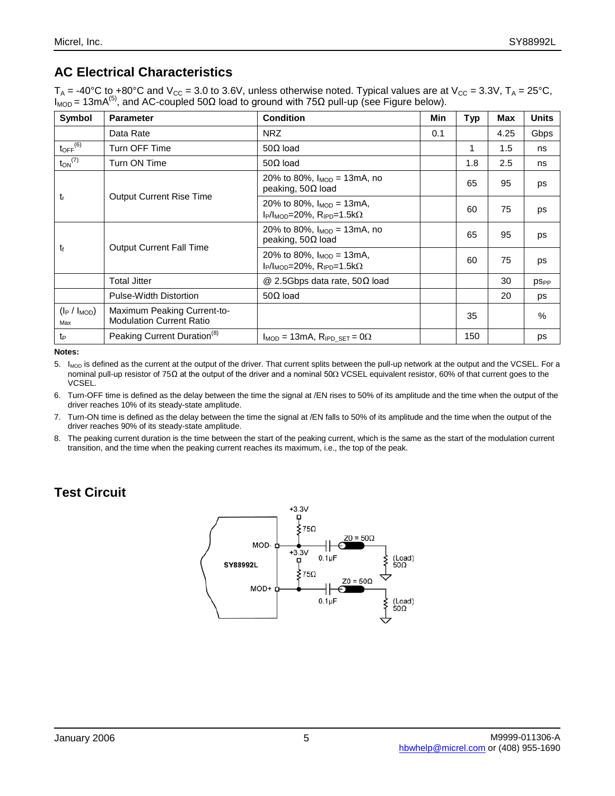## **AC Electrical Characteristics**

 $\rm T_A$  = -40°C to +80°C and V $\rm_{CC}$  = 3.0 to 3.6V, unless otherwise noted. Typical values are at V $\rm_{CC}$  = 3.3V,  $\rm T_A$  = 25°C,  $I_{\text{MOD}}$  = 13mA<sup>(5)</sup>, and AC-coupled 50Ω load to ground with 75Ω pull-up (see Figure below).

| Symbol                   | <b>Parameter</b>                                               | <b>Condition</b>                                                            | Min | Typ | Max  | <b>Units</b> |
|--------------------------|----------------------------------------------------------------|-----------------------------------------------------------------------------|-----|-----|------|--------------|
|                          | Data Rate                                                      | <b>NRZ</b>                                                                  | 0.1 |     | 4.25 | Gbps         |
| $to_{\mathsf{PF}}^{(6)}$ | Turn OFF Time                                                  | $50\Omega$ load                                                             |     | 1   | 1.5  | ns           |
| $t_{ON}$ <sup>(7)</sup>  | Turn ON Time                                                   | $50\Omega$ load                                                             |     | 1.8 | 2.5  | ns           |
| $t_{r}$                  |                                                                | 20% to 80%, $I_{MOD} = 13 \text{mA}$ , no<br>peaking, $50\Omega$ load       |     | 65  | 95   | ps           |
|                          | <b>Output Current Rise Time</b>                                | 20% to 80%, $I_{MOD} = 13mA$ ,<br>$I_P/I_{MOD}=20\%$ , $R_{IPD}=1.5k\Omega$ |     | 60  | 75   | ps           |
| t                        | <b>Output Current Fall Time</b>                                | 20% to 80%, $I_{MOD} = 13 \text{mA}$ , no<br>peaking, $50\Omega$ load       |     | 65  | 95   | ps           |
|                          |                                                                | 20% to 80%, $I_{MOD} = 13mA$ ,<br>$I_P/I_{MOD}=20\%$ , $R_{IPD}=1.5k\Omega$ |     | 60  | 75   | ps           |
|                          | <b>Total Jitter</b>                                            | $@$ 2.5Gbps data rate, 50 $\Omega$ load                                     |     |     | 30   | <b>DSPP</b>  |
|                          | Pulse-Width Distortion                                         | $50\Omega$ load                                                             |     |     | 20   | ps           |
| $(I_P / I_{MOD})$<br>Max | Maximum Peaking Current-to-<br><b>Modulation Current Ratio</b> |                                                                             |     | 35  |      | $\%$         |
| t <sub>P</sub>           | Peaking Current Duration <sup>(8)</sup>                        | $I_{MOD} = 13mA$ , $R_{IPD,SET} = 0\Omega$                                  |     | 150 |      | ps           |

**Notes:**

5. I<sub>MOD</sub> is defined as the current at the output of the driver. That current splits between the pull-up network at the output and the VCSEL. For a nominal pull-up resistor of 75Ω at the output of the driver and a nominal 50Ω VCSEL equivalent resistor, 60% of that current goes to the VCSEL.

6. Turn-OFF time is defined as the delay between the time the signal at /EN rises to 50% of its amplitude and the time when the output of the driver reaches 10% of its steady-state amplitude.

7. Turn-ON time is defined as the delay between the time the signal at /EN falls to 50% of its amplitude and the time when the output of the driver reaches 90% of its steady-state amplitude.

8. The peaking current duration is the time between the start of the peaking current, which is the same as the start of the modulation current transition, and the time when the peaking current reaches its maximum, i.e., the top of the peak.

## **Test Circuit**

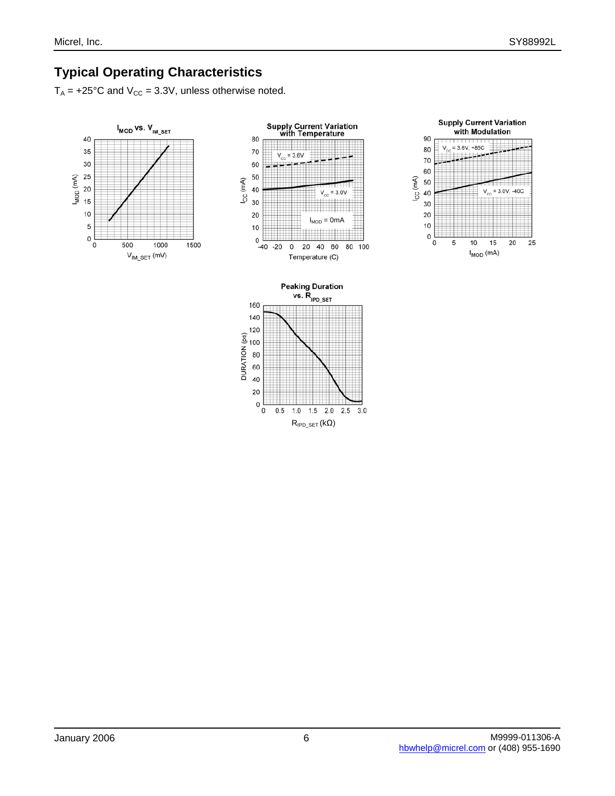## **Typical Operating Characteristics**

 $T_A$  = +25°C and  $V_{CC}$  = 3.3V, unless otherwise noted.





 $R_{\mathsf{IPD}\_\mathsf{SET}}(k\Omega)$ 

 $1.5$  2.0

 $2.5\,$  $3.0$ 

20  $\mathsf 0$ 

 $0.5$  $\pmb{0}$ 

 $1.0\,$ 

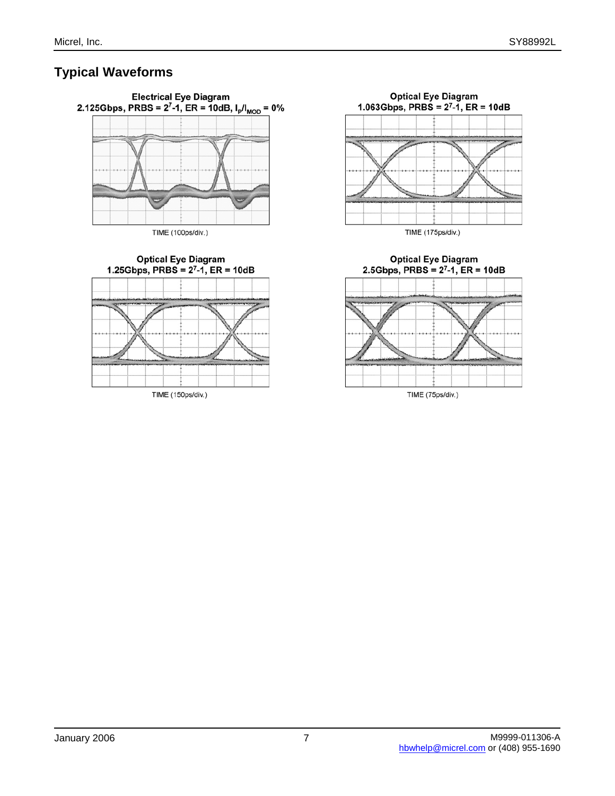## **Typical Waveforms**



**Optical Eye Diagram** 1.25Gbps, PRBS =  $2^7-1$ , ER = 10dB

![](_page_6_Figure_5.jpeg)

![](_page_6_Figure_6.jpeg)

**Optical Eye Diagram** 2.5Gbps, PRBS =  $2^7-1$ , ER = 10dB

![](_page_6_Figure_8.jpeg)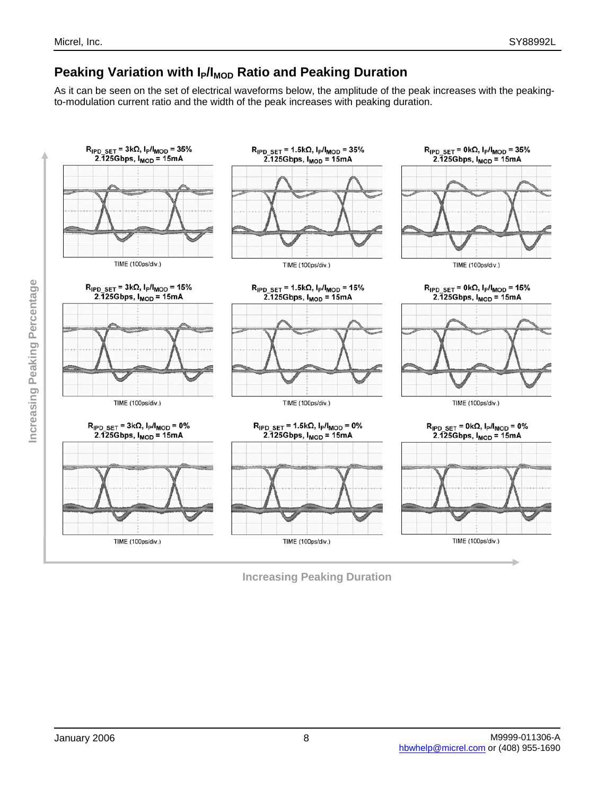## **Peaking Variation with I<sub>P</sub>/I<sub>MOD</sub> Ratio and Peaking Duration**

As it can be seen on the set of electrical waveforms below, the amplitude of the peak increases with the peakingto-modulation current ratio and the width of the peak increases with peaking duration.

![](_page_7_Figure_4.jpeg)

**Increasing Peaking Duration**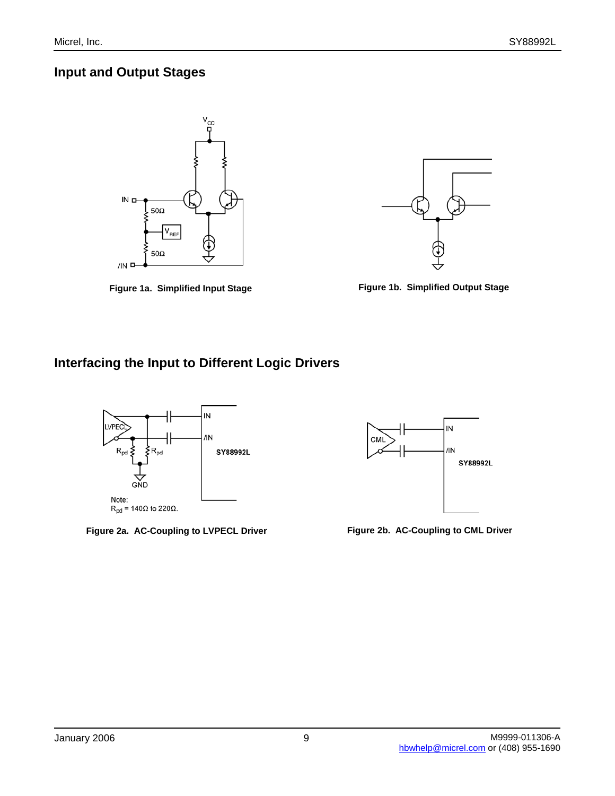#### **Input and Output Stages**

![](_page_8_Figure_3.jpeg)

**Figure 1a. Simplified Input Stage Figure 1b. Simplified Output Stage**

![](_page_8_Figure_5.jpeg)

## **Interfacing the Input to Different Logic Drivers**

![](_page_8_Figure_8.jpeg)

**Figure 2a. AC-Coupling to LVPECL Driver Figure 2b. AC-Coupling to CML Driver**

![](_page_8_Figure_10.jpeg)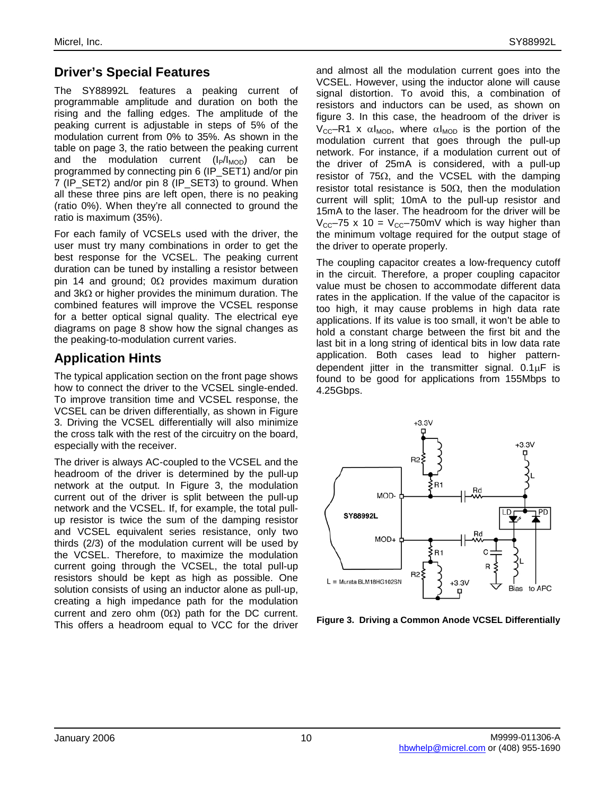#### **Driver's Special Features**

The SY88992L features a peaking current of programmable amplitude and duration on both the rising and the falling edges. The amplitude of the peaking current is adjustable in steps of 5% of the modulation current from 0% to 35%. As shown in the table on page 3, the ratio between the peaking current and the modulation current  $(I_P/I_{MOD})$  can be programmed by connecting pin 6 (IP\_SET1) and/or pin 7 (IP\_SET2) and/or pin 8 (IP\_SET3) to ground. When all these three pins are left open, there is no peaking (ratio 0%). When they're all connected to ground the ratio is maximum (35%).

For each family of VCSELs used with the driver, the user must try many combinations in order to get the best response for the VCSEL. The peaking current duration can be tuned by installing a resistor between pin 14 and ground;  $0\Omega$  provides maximum duration and  $3k\Omega$  or higher provides the minimum duration. The combined features will improve the VCSEL response for a better optical signal quality. The electrical eye diagrams on page 8 show how the signal changes as the peaking-to-modulation current varies.

#### **Application Hints**

The typical application section on the front page shows how to connect the driver to the VCSEL single-ended. To improve transition time and VCSEL response, the VCSEL can be driven differentially, as shown in Figure 3. Driving the VCSEL differentially will also minimize the cross talk with the rest of the circuitry on the board, especially with the receiver.

The driver is always AC-coupled to the VCSEL and the headroom of the driver is determined by the pull-up network at the output. In Figure 3, the modulation current out of the driver is split between the pull-up network and the VCSEL. If, for example, the total pullup resistor is twice the sum of the damping resistor and VCSEL equivalent series resistance, only two thirds (2/3) of the modulation current will be used by the VCSEL. Therefore, to maximize the modulation current going through the VCSEL, the total pull-up resistors should be kept as high as possible. One solution consists of using an inductor alone as pull-up, creating a high impedance path for the modulation current and zero ohm  $(0\Omega)$  path for the DC current. This offers a headroom equal to VCC for the driver and almost all the modulation current goes into the VCSEL. However, using the inductor alone will cause signal distortion. To avoid this, a combination of resistors and inductors can be used, as shown on figure 3. In this case, the headroom of the driver is  $V_{CC}$ –R1 x αl<sub>MOD</sub>, where αl<sub>MOD</sub> is the portion of the modulation current that goes through the pull-up network. For instance, if a modulation current out of the driver of 25mA is considered, with a pull-up resistor of  $75\Omega$ , and the VCSEL with the damping resistor total resistance is  $50Ω$ , then the modulation current will split; 10mA to the pull-up resistor and 15mA to the laser. The headroom for the driver will be  $V_{\text{CC}}$ –75 x 10 =  $V_{\text{CC}}$ –750mV which is way higher than the minimum voltage required for the output stage of the driver to operate properly.

The coupling capacitor creates a low-frequency cutoff in the circuit. Therefore, a proper coupling capacitor value must be chosen to accommodate different data rates in the application. If the value of the capacitor is too high, it may cause problems in high data rate applications. If its value is too small, it won't be able to hold a constant charge between the first bit and the last bit in a long string of identical bits in low data rate application. Both cases lead to higher patterndependent jitter in the transmitter signal.  $0.1 \mu$ F is found to be good for applications from 155Mbps to 4.25Gbps.

![](_page_9_Figure_10.jpeg)

**Figure 3. Driving a Common Anode VCSEL Differentially**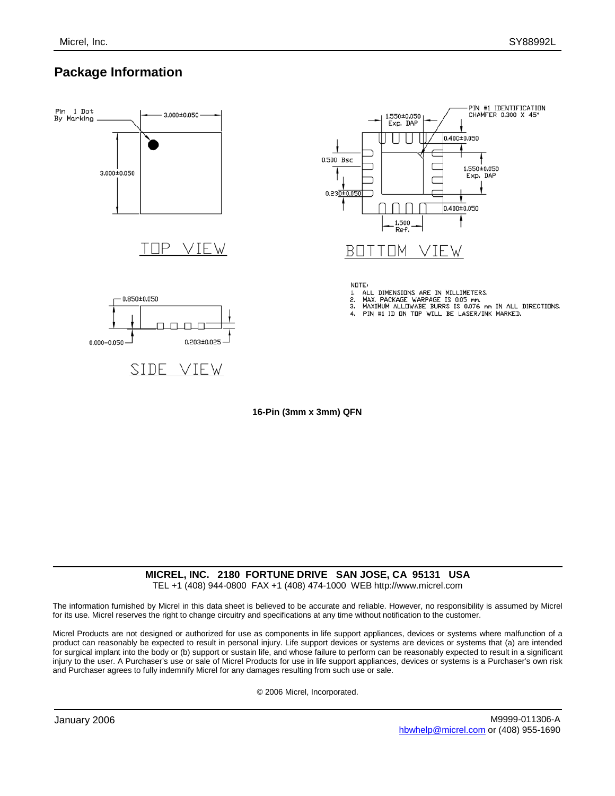#### **Package Information**

![](_page_10_Figure_3.jpeg)

**16-Pin (3mm x 3mm) QFN**

## **MICREL, INC. 2180 FORTUNE DRIVE SAN JOSE, CA 95131 USA**

TEL +1 (408) 944-0800 FAX +1 (408) 474-1000 WEB http://www.micrel.com

The information furnished by Micrel in this data sheet is believed to be accurate and reliable. However, no responsibility is assumed by Micrel for its use. Micrel reserves the right to change circuitry and specifications at any time without notification to the customer.

Micrel Products are not designed or authorized for use as components in life support appliances, devices or systems where malfunction of a product can reasonably be expected to result in personal injury. Life support devices or systems are devices or systems that (a) are intended for surgical implant into the body or (b) support or sustain life, and whose failure to perform can be reasonably expected to result in a significant injury to the user. A Purchaser's use or sale of Micrel Products for use in life support appliances, devices or systems is a Purchaser's own risk and Purchaser agrees to fully indemnify Micrel for any damages resulting from such use or sale.

© 2006 Micrel, Incorporated.